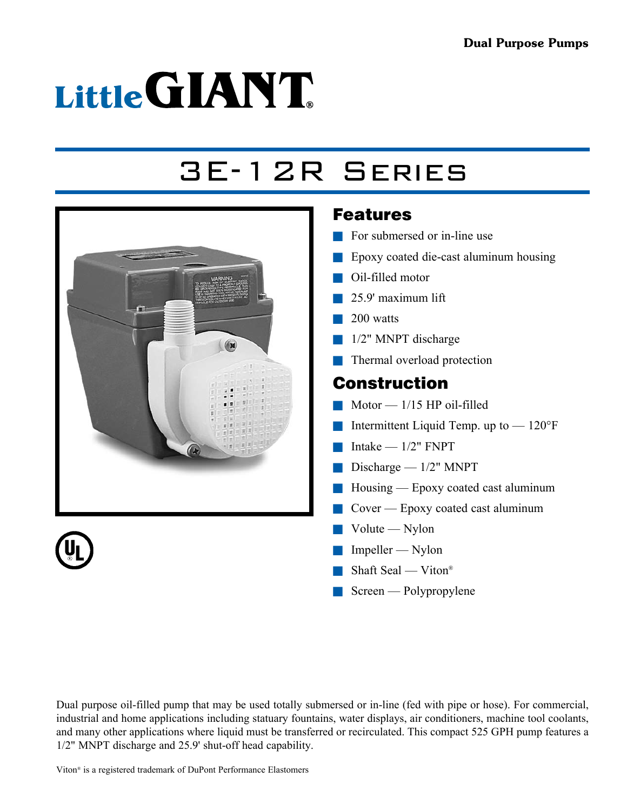# Little GIANT

## 3E-12R Series



#### Features

- $\blacksquare$  For submersed or in-line use
- $\blacksquare$  Epoxy coated die-cast aluminum housing
- $\blacksquare$  Oil-filled motor
- $\Box$  25.9' maximum lift
- $\blacksquare$  200 watts
- $\blacksquare$  1/2" MNPT discharge
- $\blacksquare$  Thermal overload protection

#### Construction

- $\blacksquare$  Motor 1/15 HP oil-filled
- **n** Intermittent Liquid Temp. up to  $-120^{\circ}$ F
- $\blacksquare$  Intake 1/2" FNPT
- Discharge  $1/2$ " MNPT
- $\blacksquare$  Housing Epoxy coated cast aluminum
- $\Box$  Cover Epoxy coated cast aluminum
- $\blacksquare$  Volute Nylon
- $\Box$  Impeller Nylon
- $\blacksquare$  Shaft Seal Viton®
- $\blacksquare$  Screen Polypropylene

Dual purpose oil-filled pump that may be used totally submersed or in-line (fed with pipe or hose). For commercial, industrial and home applications including statuary fountains, water displays, air conditioners, machine tool coolants, and many other applications where liquid must be transferred or recirculated. This compact 525 GPH pump features a 1/2" MNPT discharge and 25.9' shut-off head capability.

Viton® is a registered trademark of DuPont Performance Elastomers